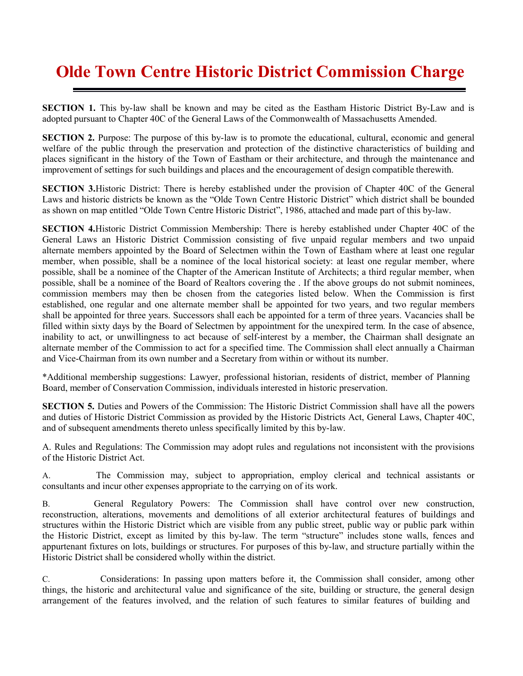## **Olde Town Centre Historic District Commission Charge**

**SECTION 1.** This by-law shall be known and may be cited as the Eastham Historic District By-Law and is adopted pursuant to Chapter 40C of the General Laws of the Commonwealth of Massachusetts Amended.

**SECTION 2.** Purpose: The purpose of this by-law is to promote the educational, cultural, economic and general welfare of the public through the preservation and protection of the distinctive characteristics of building and places significant in the history of the Town of Eastham or their architecture, and through the maintenance and improvement of settings for such buildings and places and the encouragement of design compatible therewith.

**SECTION 3.**Historic District: There is hereby established under the provision of Chapter 40C of the General Laws and historic districts be known as the "Olde Town Centre Historic District" which district shall be bounded as shown on map entitled "Olde Town Centre Historic District", 1986, attached and made part of this by-law.

**SECTION 4.**Historic District Commission Membership: There is hereby established under Chapter 40C of the General Laws an Historic District Commission consisting of five unpaid regular members and two unpaid alternate members appointed by the Board of Selectmen within the Town of Eastham where at least one regular member, when possible, shall be a nominee of the local historical society: at least one regular member, where possible, shall be a nominee of the Chapter of the American Institute of Architects; a third regular member, when possible, shall be a nominee of the Board of Realtors covering the . If the above groups do not submit nominees, commission members may then be chosen from the categories listed below. When the Commission is first established, one regular and one alternate member shall be appointed for two years, and two regular members shall be appointed for three years. Successors shall each be appointed for a term of three years. Vacancies shall be filled within sixty days by the Board of Selectmen by appointment for the unexpired term. In the case of absence, inability to act, or unwillingness to act because of self-interest by a member, the Chairman shall designate an alternate member of the Commission to act for a specified time. The Commission shall elect annually a Chairman and Vice-Chairman from its own number and a Secretary from within or without its number.

\*Additional membership suggestions: Lawyer, professional historian, residents of district, member of Planning Board, member of Conservation Commission, individuals interested in historic preservation.

**SECTION 5.** Duties and Powers of the Commission: The Historic District Commission shall have all the powers and duties of Historic District Commission as provided by the Historic Districts Act, General Laws, Chapter 40C, and of subsequent amendments thereto unless specifically limited by this by-law.

A. Rules and Regulations: The Commission may adopt rules and regulations not inconsistent with the provisions of the Historic District Act.

A. The Commission may, subject to appropriation, employ clerical and technical assistants or consultants and incur other expenses appropriate to the carrying on of its work.

B. General Regulatory Powers: The Commission shall have control over new construction, reconstruction, alterations, movements and demolitions of all exterior architectural features of buildings and structures within the Historic District which are visible from any public street, public way or public park within the Historic District, except as limited by this by-law. The term "structure" includes stone walls, fences and appurtenant fixtures on lots, buildings or structures. For purposes of this by-law, and structure partially within the Historic District shall be considered wholly within the district.

C. Considerations: In passing upon matters before it, the Commission shall consider, among other things, the historic and architectural value and significance of the site, building or structure, the general design arrangement of the features involved, and the relation of such features to similar features of building and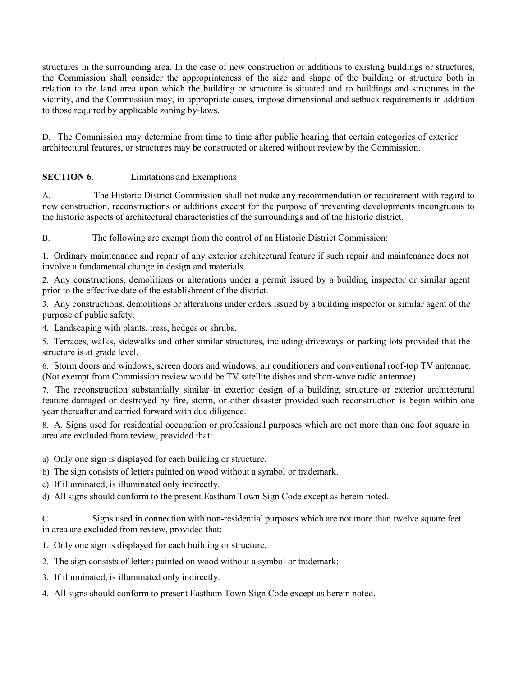structures in the surrounding area. In the case of new construction or additions to existing buildings or structures, the Commission shall consider the appropriateness of the size and shape of the building or structure both in relation to the land area upon which the building or structure is situated and to buildings and structures in the vicinity, and the Commission may, in appropriate cases, impose dimensional and setback requirements in addition to those required by applicable zoning by-laws.

D. The Commission may determine from time to time after public hearing that certain categories of exterior architectural features, or structures may be constructed or altered without review by the Commission.

## **SECTION 6.** Limitations and Exemptions

A. The Historic District Commission shall not make any recommendation or requirement with regard to new construction, reconstructions or additions except for the purpose of preventing developments incongruous to the historic aspects of architectural characteristics of the surroundings and of the historic district.

B. The following are exempt from the control of an Historic District Commission:

1. Ordinary maintenance and repair of any exterior architectural feature if such repair and maintenance does not involve a fundamental change in design and materials.

2. Any constructions, demolitions or alterations under a permit issued by a building inspector or similar agent prior to the effective date of the establishment of the district.

3. Any constructions, demolitions or alterations under orders issued by a building inspector or similar agent of the purpose of public safety.

4. Landscaping with plants, tress, hedges or shrubs.

5. Terraces, walks, sidewalks and other similar structures, including driveways or parking lots provided that the structure is at grade level.

6. Storm doors and windows, screen doors and windows, air conditioners and conventional roof-top TV antennae. (Not exempt from Commission review would be TV satellite dishes and short-wave radio antennae).

7. The reconstruction substantially similar in exterior design of a building, structure or exterior architectural feature damaged or destroyed by fire, storm, or other disaster provided such reconstruction is begin within one year thereafter and carried forward with due diligence.

8. A. Signs used for residential occupation or professional purposes which are not more than one foot square in area are excluded from review, provided that:

- a) Only one sign is displayed for each building or structure.
- b) The sign consists of letters painted on wood without a symbol or trademark.
- c) If illuminated, is illuminated only indirectly.
- d) All signs should conform to the present Eastham Town Sign Code except as herein noted.

C. Signs used in connection with non-residential purposes which are not more than twelve square feet in area are excluded from review, provided that:

- 1. Only one sign is displayed for each building or structure.
- 2. The sign consists of letters painted on wood without a symbol or trademark;
- 3. If illuminated, is illuminated only indirectly.
- 4. All signs should conform to present Eastham Town Sign Code except as herein noted.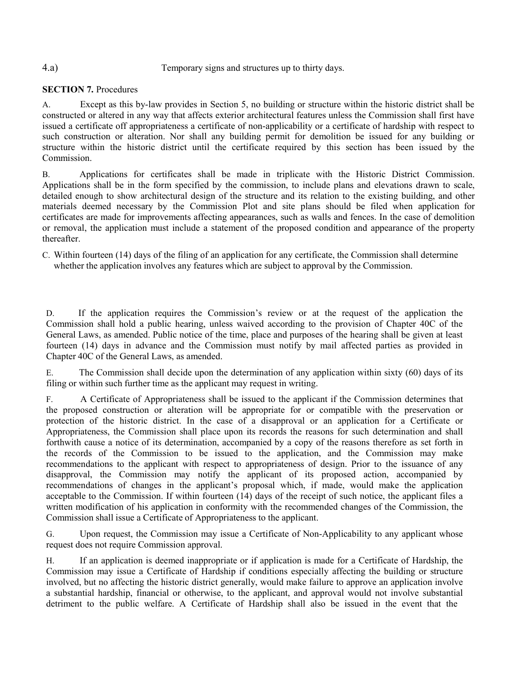## 4.a) Temporary signs and structures up to thirty days.

## **SECTION 7. Procedures**

A. Except as this by-law provides in Section 5, no building or structure within the historic district shall be constructed or altered in any way that affects exterior architectural features unless the Commission shall first have issued a certificate off appropriateness a certificate of non-applicability or a certificate of hardship with respect to such construction or alteration. Nor shall any building permit for demolition be issued for any building or structure within the historic district until the certificate required by this section has been issued by the Commission.

B. Applications for certificates shall be made in triplicate with the Historic District Commission. Applications shall be in the form specified by the commission, to include plans and elevations drawn to scale, detailed enough to show architectural design of the structure and its relation to the existing building, and other materials deemed necessary by the Commission Plot and site plans should be filed when application for certificates are made for improvements affecting appearances, such as walls and fences. In the case of demolition or removal, the application must include a statement of the proposed condition and appearance of the property thereafter.

C. Within fourteen (14) days of the filing of an application for any certificate, the Commission shall determine whether the application involves any features which are subject to approval by the Commission.

D. If the application requires the Commission's review or at the request of the application the Commission shall hold a public hearing, unless waived according to the provision of Chapter 40C of the General Laws, as amended. Public notice of the time, place and purposes of the hearing shall be given at least fourteen (14) days in advance and the Commission must notify by mail affected parties as provided in Chapter 40C of the General Laws, as amended.

E. The Commission shall decide upon the determination of any application within sixty (60) days of its filing or within such further time as the applicant may request in writing.

F. A Certificate of Appropriateness shall be issued to the applicant if the Commission determines that the proposed construction or alteration will be appropriate for or compatible with the preservation or protection of the historic district. In the case of a disapproval or an application for a Certificate or Appropriateness, the Commission shall place upon its records the reasons for such determination and shall forthwith cause a notice of its determination, accompanied by a copy of the reasons therefore as set forth in the records of the Commission to be issued to the application, and the Commission may make recommendations to the applicant with respect to appropriateness of design. Prior to the issuance of any disapproval, the Commission may notify the applicant of its proposed action, accompanied by recommendations of changes in the applicant's proposal which, if made, would make the application acceptable to the Commission. If within fourteen (14) days of the receipt of such notice, the applicant files a written modification of his application in conformity with the recommended changes of the Commission, the Commission shall issue a Certificate of Appropriateness to the applicant.

G. Upon request, the Commission may issue a Certificate of Non-Applicability to any applicant whose request does not require Commission approval.

H. If an application is deemed inappropriate or if application is made for a Certificate of Hardship, the Commission may issue a Certificate of Hardship if conditions especially affecting the building or structure involved, but no affecting the historic district generally, would make failure to approve an application involve a substantial hardship, financial or otherwise, to the applicant, and approval would not involve substantial detriment to the public welfare. A Certificate of Hardship shall also be issued in the event that the